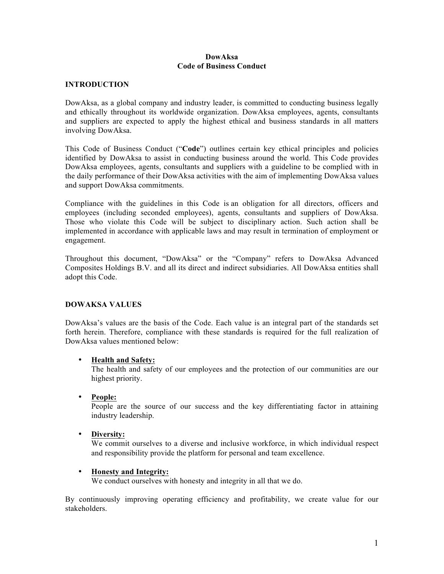#### **DowAksa Code of Business Conduct**

#### **INTRODUCTION**

DowAksa, as a global company and industry leader, is committed to conducting business legally and ethically throughout its worldwide organization. DowAksa employees, agents, consultants and suppliers are expected to apply the highest ethical and business standards in all matters involving DowAksa.

This Code of Business Conduct ("**Code**") outlines certain key ethical principles and policies identified by DowAksa to assist in conducting business around the world. This Code provides DowAksa employees, agents, consultants and suppliers with a guideline to be complied with in the daily performance of their DowAksa activities with the aim of implementing DowAksa values and support DowAksa commitments.

Compliance with the guidelines in this Code is an obligation for all directors, officers and employees (including seconded employees), agents, consultants and suppliers of DowAksa. Those who violate this Code will be subject to disciplinary action. Such action shall be implemented in accordance with applicable laws and may result in termination of employment or engagement.

Throughout this document, "DowAksa" or the "Company" refers to DowAksa Advanced Composites Holdings B.V. and all its direct and indirect subsidiaries. All DowAksa entities shall adopt this Code.

## **DOWAKSA VALUES**

DowAksa's values are the basis of the Code. Each value is an integral part of the standards set forth herein. Therefore, compliance with these standards is required for the full realization of DowAksa values mentioned below:

## • **Health and Safety:**

The health and safety of our employees and the protection of our communities are our highest priority.

#### • **People:**

People are the source of our success and the key differentiating factor in attaining industry leadership.

# • **Diversity:**

We commit ourselves to a diverse and inclusive workforce, in which individual respect and responsibility provide the platform for personal and team excellence.

#### • **Honesty and Integrity:**

We conduct ourselves with honesty and integrity in all that we do.

By continuously improving operating efficiency and profitability, we create value for our stakeholders.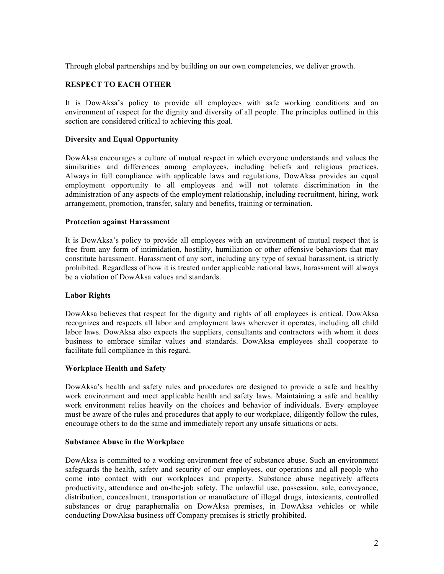Through global partnerships and by building on our own competencies, we deliver growth.

## **RESPECT TO EACH OTHER**

It is DowAksa's policy to provide all employees with safe working conditions and an environment of respect for the dignity and diversity of all people. The principles outlined in this section are considered critical to achieving this goal.

## **Diversity and Equal Opportunity**

DowAksa encourages a culture of mutual respect in which everyone understands and values the similarities and differences among employees, including beliefs and religious practices. Always in full compliance with applicable laws and regulations, DowAksa provides an equal employment opportunity to all employees and will not tolerate discrimination in the administration of any aspects of the employment relationship, including recruitment, hiring, work arrangement, promotion, transfer, salary and benefits, training or termination.

## **Protection against Harassment**

It is DowAksa's policy to provide all employees with an environment of mutual respect that is free from any form of intimidation, hostility, humiliation or other offensive behaviors that may constitute harassment. Harassment of any sort, including any type of sexual harassment, is strictly prohibited. Regardless of how it is treated under applicable national laws, harassment will always be a violation of DowAksa values and standards.

## **Labor Rights**

DowAksa believes that respect for the dignity and rights of all employees is critical. DowAksa recognizes and respects all labor and employment laws wherever it operates, including all child labor laws. DowAksa also expects the suppliers, consultants and contractors with whom it does business to embrace similar values and standards. DowAksa employees shall cooperate to facilitate full compliance in this regard.

## **Workplace Health and Safety**

DowAksa's health and safety rules and procedures are designed to provide a safe and healthy work environment and meet applicable health and safety laws. Maintaining a safe and healthy work environment relies heavily on the choices and behavior of individuals. Every employee must be aware of the rules and procedures that apply to our workplace, diligently follow the rules, encourage others to do the same and immediately report any unsafe situations or acts.

#### **Substance Abuse in the Workplace**

DowAksa is committed to a working environment free of substance abuse. Such an environment safeguards the health, safety and security of our employees, our operations and all people who come into contact with our workplaces and property. Substance abuse negatively affects productivity, attendance and on-the-job safety. The unlawful use, possession, sale, conveyance, distribution, concealment, transportation or manufacture of illegal drugs, intoxicants, controlled substances or drug paraphernalia on DowAksa premises, in DowAksa vehicles or while conducting DowAksa business off Company premises is strictly prohibited.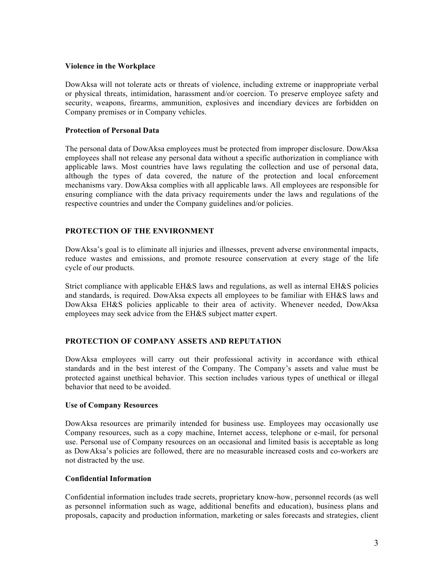#### **Violence in the Workplace**

DowAksa will not tolerate acts or threats of violence, including extreme or inappropriate verbal or physical threats, intimidation, harassment and/or coercion. To preserve employee safety and security, weapons, firearms, ammunition, explosives and incendiary devices are forbidden on Company premises or in Company vehicles.

## **Protection of Personal Data**

The personal data of DowAksa employees must be protected from improper disclosure. DowAksa employees shall not release any personal data without a specific authorization in compliance with applicable laws. Most countries have laws regulating the collection and use of personal data, although the types of data covered, the nature of the protection and local enforcement mechanisms vary. DowAksa complies with all applicable laws. All employees are responsible for ensuring compliance with the data privacy requirements under the laws and regulations of the respective countries and under the Company guidelines and/or policies.

# **PROTECTION OF THE ENVIRONMENT**

DowAksa's goal is to eliminate all injuries and illnesses, prevent adverse environmental impacts, reduce wastes and emissions, and promote resource conservation at every stage of the life cycle of our products.

Strict compliance with applicable EH&S laws and regulations, as well as internal EH&S policies and standards, is required. DowAksa expects all employees to be familiar with EH&S laws and DowAksa EH&S policies applicable to their area of activity. Whenever needed, DowAksa employees may seek advice from the EH&S subject matter expert.

# **PROTECTION OF COMPANY ASSETS AND REPUTATION**

DowAksa employees will carry out their professional activity in accordance with ethical standards and in the best interest of the Company. The Company's assets and value must be protected against unethical behavior. This section includes various types of unethical or illegal behavior that need to be avoided.

## **Use of Company Resources**

DowAksa resources are primarily intended for business use. Employees may occasionally use Company resources, such as a copy machine, Internet access, telephone or e-mail, for personal use. Personal use of Company resources on an occasional and limited basis is acceptable as long as DowAksa's policies are followed, there are no measurable increased costs and co-workers are not distracted by the use.

## **Confidential Information**

Confidential information includes trade secrets, proprietary know-how, personnel records (as well as personnel information such as wage, additional benefits and education), business plans and proposals, capacity and production information, marketing or sales forecasts and strategies, client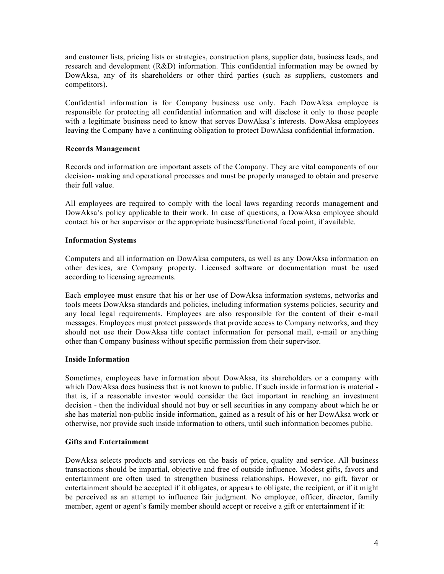and customer lists, pricing lists or strategies, construction plans, supplier data, business leads, and research and development (R&D) information. This confidential information may be owned by DowAksa, any of its shareholders or other third parties (such as suppliers, customers and competitors).

Confidential information is for Company business use only. Each DowAksa employee is responsible for protecting all confidential information and will disclose it only to those people with a legitimate business need to know that serves DowAksa's interests. DowAksa employees leaving the Company have a continuing obligation to protect DowAksa confidential information.

## **Records Management**

Records and information are important assets of the Company. They are vital components of our decision- making and operational processes and must be properly managed to obtain and preserve their full value.

All employees are required to comply with the local laws regarding records management and DowAksa's policy applicable to their work. In case of questions, a DowAksa employee should contact his or her supervisor or the appropriate business/functional focal point, if available.

# **Information Systems**

Computers and all information on DowAksa computers, as well as any DowAksa information on other devices, are Company property. Licensed software or documentation must be used according to licensing agreements.

Each employee must ensure that his or her use of DowAksa information systems, networks and tools meets DowAksa standards and policies, including information systems policies, security and any local legal requirements. Employees are also responsible for the content of their e-mail messages. Employees must protect passwords that provide access to Company networks, and they should not use their DowAksa title contact information for personal mail, e-mail or anything other than Company business without specific permission from their supervisor.

# **Inside Information**

Sometimes, employees have information about DowAksa, its shareholders or a company with which DowAksa does business that is not known to public. If such inside information is material that is, if a reasonable investor would consider the fact important in reaching an investment decision - then the individual should not buy or sell securities in any company about which he or she has material non-public inside information, gained as a result of his or her DowAksa work or otherwise, nor provide such inside information to others, until such information becomes public.

# **Gifts and Entertainment**

DowAksa selects products and services on the basis of price, quality and service. All business transactions should be impartial, objective and free of outside influence. Modest gifts, favors and entertainment are often used to strengthen business relationships. However, no gift, favor or entertainment should be accepted if it obligates, or appears to obligate, the recipient, or if it might be perceived as an attempt to influence fair judgment. No employee, officer, director, family member, agent or agent's family member should accept or receive a gift or entertainment if it: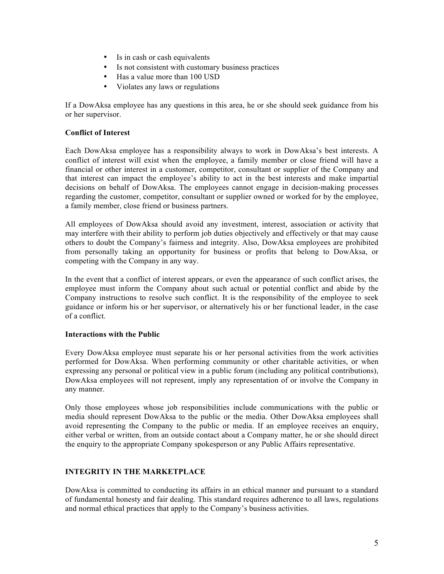- Is in cash or cash equivalents
- Is not consistent with customary business practices
- Has a value more than 100 USD
- Violates any laws or regulations

If a DowAksa employee has any questions in this area, he or she should seek guidance from his or her supervisor.

## **Conflict of Interest**

Each DowAksa employee has a responsibility always to work in DowAksa's best interests. A conflict of interest will exist when the employee, a family member or close friend will have a financial or other interest in a customer, competitor, consultant or supplier of the Company and that interest can impact the employee's ability to act in the best interests and make impartial decisions on behalf of DowAksa. The employees cannot engage in decision-making processes regarding the customer, competitor, consultant or supplier owned or worked for by the employee, a family member, close friend or business partners.

All employees of DowAksa should avoid any investment, interest, association or activity that may interfere with their ability to perform job duties objectively and effectively or that may cause others to doubt the Company's fairness and integrity. Also, DowAksa employees are prohibited from personally taking an opportunity for business or profits that belong to DowAksa, or competing with the Company in any way.

In the event that a conflict of interest appears, or even the appearance of such conflict arises, the employee must inform the Company about such actual or potential conflict and abide by the Company instructions to resolve such conflict. It is the responsibility of the employee to seek guidance or inform his or her supervisor, or alternatively his or her functional leader, in the case of a conflict.

## **Interactions with the Public**

Every DowAksa employee must separate his or her personal activities from the work activities performed for DowAksa. When performing community or other charitable activities, or when expressing any personal or political view in a public forum (including any political contributions), DowAksa employees will not represent, imply any representation of or involve the Company in any manner.

Only those employees whose job responsibilities include communications with the public or media should represent DowAksa to the public or the media. Other DowAksa employees shall avoid representing the Company to the public or media. If an employee receives an enquiry, either verbal or written, from an outside contact about a Company matter, he or she should direct the enquiry to the appropriate Company spokesperson or any Public Affairs representative.

# **INTEGRITY IN THE MARKETPLACE**

DowAksa is committed to conducting its affairs in an ethical manner and pursuant to a standard of fundamental honesty and fair dealing. This standard requires adherence to all laws, regulations and normal ethical practices that apply to the Company's business activities.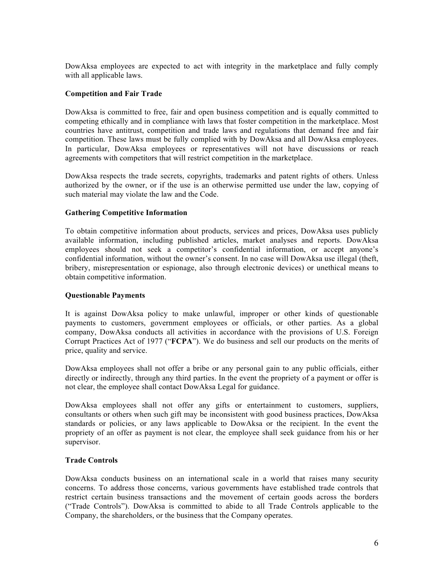DowAksa employees are expected to act with integrity in the marketplace and fully comply with all applicable laws.

## **Competition and Fair Trade**

DowAksa is committed to free, fair and open business competition and is equally committed to competing ethically and in compliance with laws that foster competition in the marketplace. Most countries have antitrust, competition and trade laws and regulations that demand free and fair competition. These laws must be fully complied with by DowAksa and all DowAksa employees. In particular, DowAksa employees or representatives will not have discussions or reach agreements with competitors that will restrict competition in the marketplace.

DowAksa respects the trade secrets, copyrights, trademarks and patent rights of others. Unless authorized by the owner, or if the use is an otherwise permitted use under the law, copying of such material may violate the law and the Code.

#### **Gathering Competitive Information**

To obtain competitive information about products, services and prices, DowAksa uses publicly available information, including published articles, market analyses and reports. DowAksa employees should not seek a competitor's confidential information, or accept anyone's confidential information, without the owner's consent. In no case will DowAksa use illegal (theft, bribery, misrepresentation or espionage, also through electronic devices) or unethical means to obtain competitive information.

## **Questionable Payments**

It is against DowAksa policy to make unlawful, improper or other kinds of questionable payments to customers, government employees or officials, or other parties. As a global company, DowAksa conducts all activities in accordance with the provisions of U.S. Foreign Corrupt Practices Act of 1977 ("**FCPA**"). We do business and sell our products on the merits of price, quality and service.

DowAksa employees shall not offer a bribe or any personal gain to any public officials, either directly or indirectly, through any third parties. In the event the propriety of a payment or offer is not clear, the employee shall contact DowAksa Legal for guidance.

DowAksa employees shall not offer any gifts or entertainment to customers, suppliers, consultants or others when such gift may be inconsistent with good business practices, DowAksa standards or policies, or any laws applicable to DowAksa or the recipient. In the event the propriety of an offer as payment is not clear, the employee shall seek guidance from his or her supervisor.

#### **Trade Controls**

DowAksa conducts business on an international scale in a world that raises many security concerns. To address those concerns, various governments have established trade controls that restrict certain business transactions and the movement of certain goods across the borders ("Trade Controls"). DowAksa is committed to abide to all Trade Controls applicable to the Company, the shareholders, or the business that the Company operates.